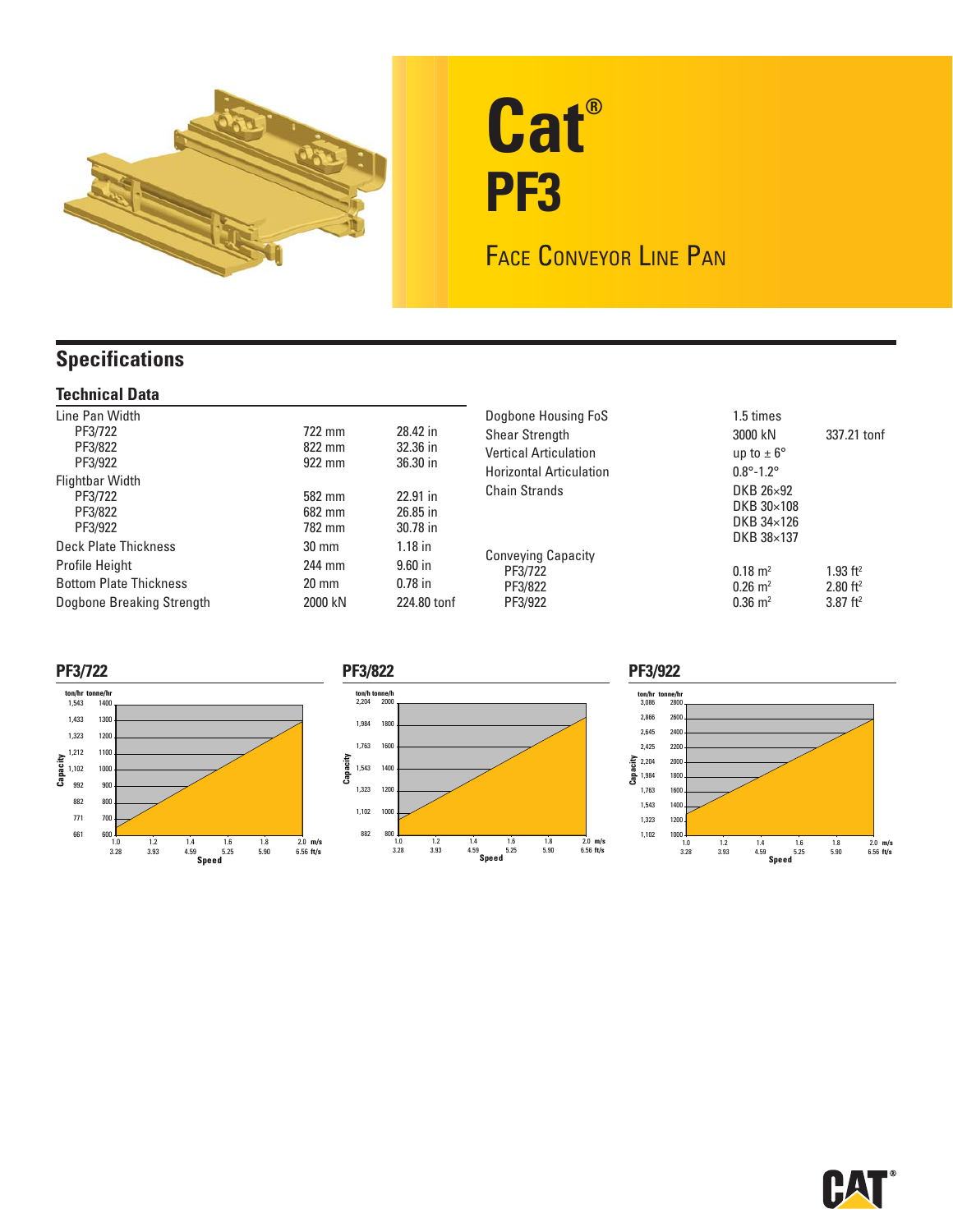

# **Cat® PF3**

FACE CONVEYOR LINE PAN

## **Specifications**

### **Technical Data**

| Line Pan Width<br>PF3/722<br>PF3/822<br>PF3/922<br>Flightbar Width<br>PF3/722<br>PF3/822<br>PF3/922  | 722 mm<br>822 mm<br>922 mm<br>582 mm<br>682 mm<br>782 mm | 28.42 in<br>32.36 in<br>36.30 in<br>$22.91$ in<br>26.85 in<br>30.78 in | Dogbone Housing FoS<br><b>Shear Strength</b><br><b>Vertical Articulation</b><br><b>Horizontal Articulation</b><br><b>Chain Strands</b> | 1.5 times<br>3000 kN<br>up to $\pm 6^{\circ}$<br>$0.8^{\circ} - 1.2^{\circ}$<br>DKB 26×92<br>DKB $30\times108$<br>DKB 34×126 | 337.21 tonf                                                                |
|------------------------------------------------------------------------------------------------------|----------------------------------------------------------|------------------------------------------------------------------------|----------------------------------------------------------------------------------------------------------------------------------------|------------------------------------------------------------------------------------------------------------------------------|----------------------------------------------------------------------------|
| Deck Plate Thickness<br>Profile Height<br><b>Bottom Plate Thickness</b><br>Dogbone Breaking Strength | $30 \text{ mm}$<br>244 mm<br>$20 \text{ mm}$<br>2000 kN  | $1.18$ in<br>$9.60$ in<br>$0.78$ in<br>224.80 tonf                     | <b>Conveying Capacity</b><br>PF3/722<br>PF3/822<br>PF3/922                                                                             | DKB 38×137<br>$0.18 \text{ m}^2$<br>$0.26 \text{ m}^2$<br>$0.36 \; \mathrm{m}^2$                                             | $1.93$ ft <sup>2</sup><br>$2.80$ ft <sup>2</sup><br>$3.87$ ft <sup>2</sup> |